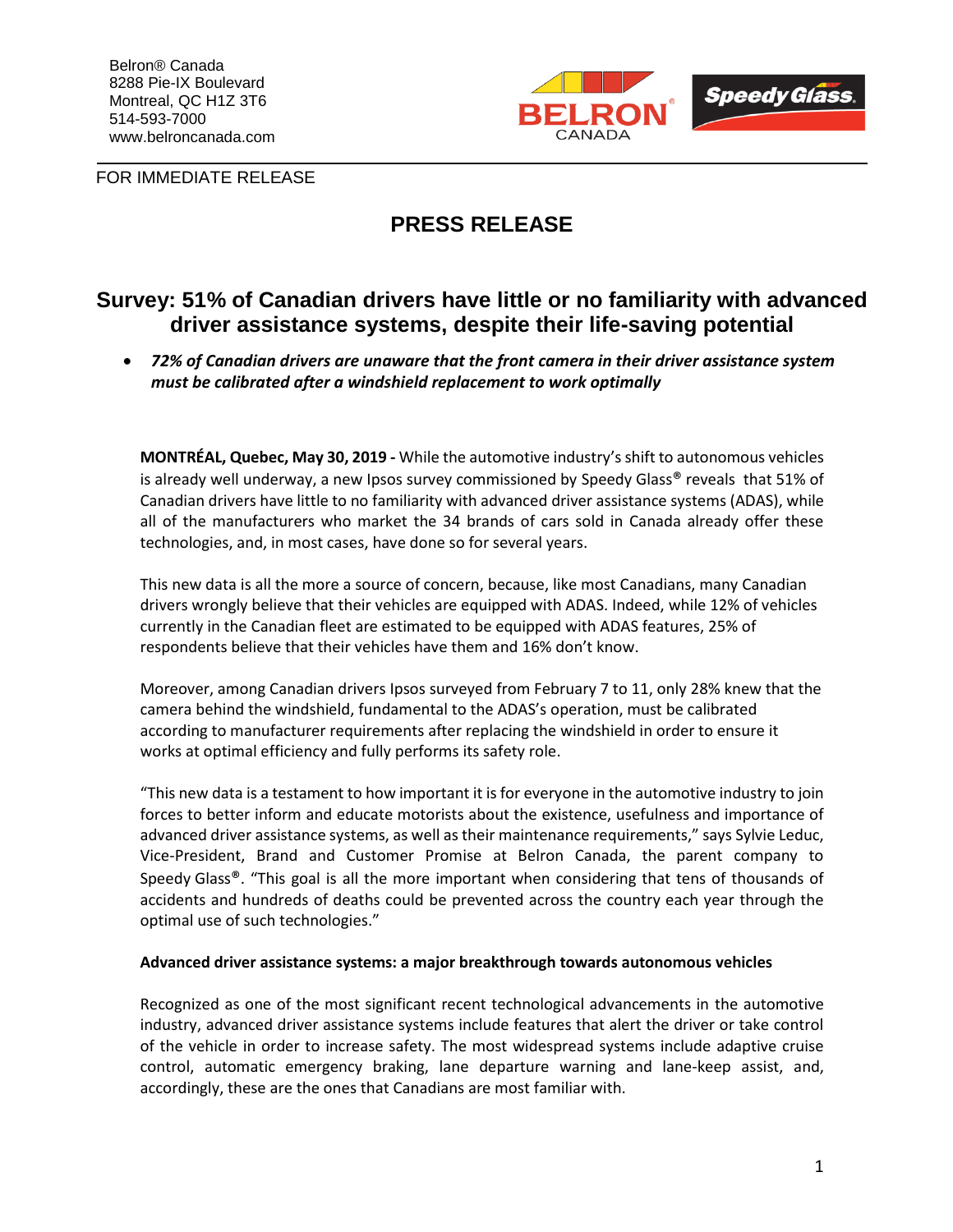

FOR IMMEDIATE RELEASE

# **PRESS RELEASE**

# **Survey: 51% of Canadian drivers have little or no familiarity with advanced driver assistance systems, despite their life-saving potential**

• *72% of Canadian drivers are unaware that the front camera in their driver assistance system must be calibrated after a windshield replacement to work optimally*

**MONTRÉAL, Quebec, May 30, 2019 -** While the automotive industry's shift to autonomous vehicles is already well underway, a new Ipsos survey commissioned by Speedy Glass® reveals that 51% of Canadian drivers have little to no familiarity with advanced driver assistance systems (ADAS), while all of the manufacturers who market the 34 brands of cars sold in Canada already offer these technologies, and, in most cases, have done so for several years.

This new data is all the more a source of concern, because, like most Canadians, many Canadian drivers wrongly believe that their vehicles are equipped with ADAS. Indeed, while 12% of vehicles currently in the Canadian fleet are estimated to be equipped with ADAS features, 25% of respondents believe that their vehicles have them and 16% don't know.

Moreover, among Canadian drivers Ipsos surveyed from February 7 to 11, only 28% knew that the camera behind the windshield, fundamental to the ADAS's operation, must be calibrated according to manufacturer requirements after replacing the windshield in order to ensure it works at optimal efficiency and fully performs its safety role.

"This new data is a testament to how important it is for everyone in the automotive industry to join forces to better inform and educate motorists about the existence, usefulness and importance of advanced driver assistance systems, as well as their maintenance requirements," says Sylvie Leduc, Vice-President, Brand and Customer Promise at Belron Canada, the parent company to Speedy Glass®. "This goal is all the more important when considering that tens of thousands of accidents and hundreds of deaths could be prevented across the country each year through the optimal use of such technologies."

### **Advanced driver assistance systems: a major breakthrough towards autonomous vehicles**

Recognized as one of the most significant recent technological advancements in the automotive industry, advanced driver assistance systems include features that alert the driver or take control of the vehicle in order to increase safety. The most widespread systems include adaptive cruise control, automatic emergency braking, lane departure warning and lane-keep assist, and, accordingly, these are the ones that Canadians are most familiar with.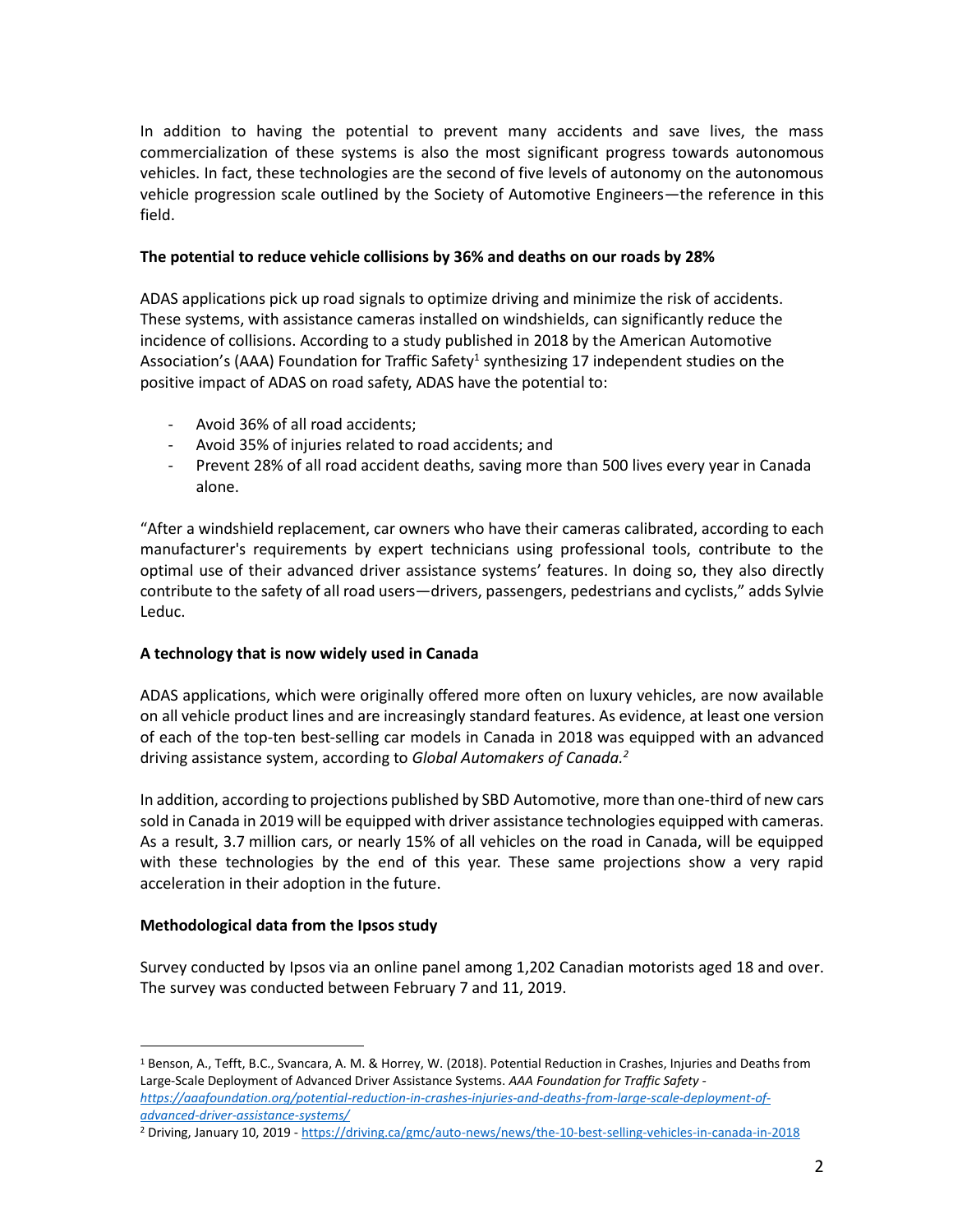In addition to having the potential to prevent many accidents and save lives, the mass commercialization of these systems is also the most significant progress towards autonomous vehicles. In fact, these technologies are the second of five levels of autonomy on the autonomous vehicle progression scale outlined by the Society of Automotive Engineers—the reference in this field.

### **The potential to reduce vehicle collisions by 36% and deaths on our roads by 28%**

ADAS applications pick up road signals to optimize driving and minimize the risk of accidents. These systems, with assistance cameras installed on windshields, can significantly reduce the incidence of collisions. According to a study published in 2018 by the American Automotive Association's (AAA) Foundation for Traffic Safety<sup>1</sup> synthesizing 17 independent studies on the positive impact of ADAS on road safety, ADAS have the potential to:

- Avoid 36% of all road accidents;
- Avoid 35% of injuries related to road accidents; and
- Prevent 28% of all road accident deaths, saving more than 500 lives every year in Canada alone.

"After a windshield replacement, car owners who have their cameras calibrated, according to each manufacturer's requirements by expert technicians using professional tools, contribute to the optimal use of their advanced driver assistance systems' features. In doing so, they also directly contribute to the safety of all road users—drivers, passengers, pedestrians and cyclists," adds Sylvie Leduc.

### **A technology that is now widely used in Canada**

ADAS applications, which were originally offered more often on luxury vehicles, are now available on all vehicle product lines and are increasingly standard features. As evidence, at least one version of each of the top-ten best-selling car models in Canada in 2018 was equipped with an advanced driving assistance system, according to *Global Automakers of Canada. 2*

In addition, according to projections published by SBD Automotive, more than one-third of new cars sold in Canada in 2019 will be equipped with driver assistance technologies equipped with cameras. As a result, 3.7 million cars, or nearly 15% of all vehicles on the road in Canada, will be equipped with these technologies by the end of this year. These same projections show a very rapid acceleration in their adoption in the future.

#### **Methodological data from the Ipsos study**

 $\overline{a}$ 

Survey conducted by Ipsos via an online panel among 1,202 Canadian motorists aged 18 and over. The survey was conducted between February 7 and 11, 2019.

<sup>&</sup>lt;sup>1</sup> Benson, A., Tefft, B.C., Svancara, A. M. & Horrey, W. (2018). Potential Reduction in Crashes, Injuries and Deaths from Large-Scale Deployment of Advanced Driver Assistance Systems. *AAA Foundation for Traffic Safety [https://aaafoundation.org/potential-reduction-in-crashes-injuries-and-deaths-from-large-scale-deployment-of](https://aaafoundation.org/potential-reduction-in-crashes-injuries-and-deaths-from-large-scale-deployment-of-advanced-driver-assistance-systems/)[advanced-driver-assistance-systems/](https://aaafoundation.org/potential-reduction-in-crashes-injuries-and-deaths-from-large-scale-deployment-of-advanced-driver-assistance-systems/)*

<sup>2</sup> Driving, January 10, 2019 - <https://driving.ca/gmc/auto-news/news/the-10-best-selling-vehicles-in-canada-in-2018>